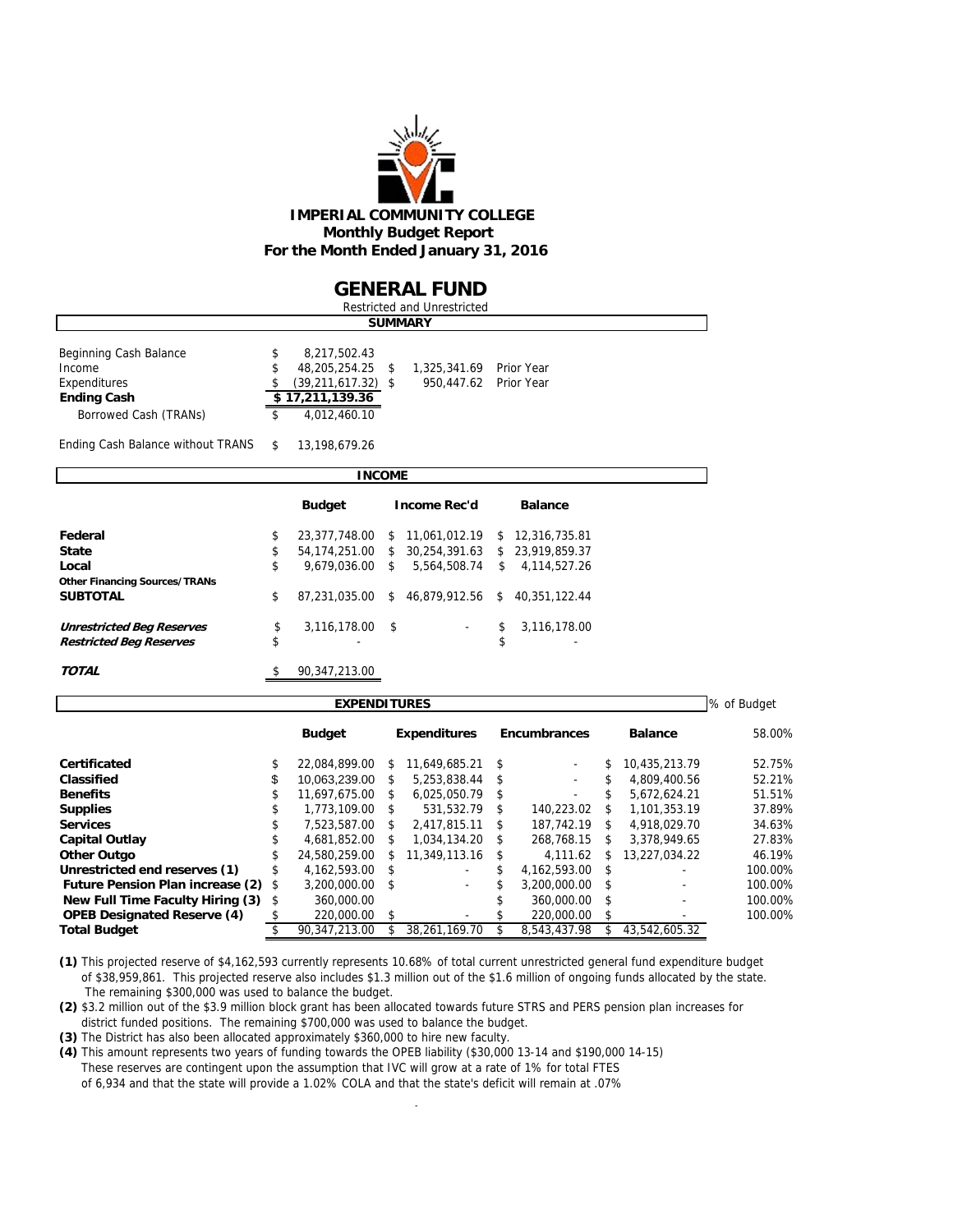

### **GENERAL FUND**

| Restricted and Unrestricted |                |                        |  |                         |  |  |  |  |  |  |  |  |  |
|-----------------------------|----------------|------------------------|--|-------------------------|--|--|--|--|--|--|--|--|--|
|                             | <b>SUMMARY</b> |                        |  |                         |  |  |  |  |  |  |  |  |  |
| Beginning Cash Balance      |                | 8,217,502.43           |  |                         |  |  |  |  |  |  |  |  |  |
| Income                      |                | 48,205,254.25 \$       |  | 1.325.341.69 Prior Year |  |  |  |  |  |  |  |  |  |
| Expenditures                |                | $(39, 211, 617.32)$ \$ |  | 950.447.62 Prior Year   |  |  |  |  |  |  |  |  |  |
| <b>Ending Cash</b>          |                | \$17,211,139.36        |  |                         |  |  |  |  |  |  |  |  |  |
| Borrowed Cash (TRANs)       |                | 4.012.460.10           |  |                         |  |  |  |  |  |  |  |  |  |
|                             |                |                        |  |                         |  |  |  |  |  |  |  |  |  |

Ending Cash Balance without TRANS \$ 13,198,679.26

| <b>INCOME</b>                        |    |                   |    |                                                 |    |                |  |  |  |  |  |  |  |
|--------------------------------------|----|-------------------|----|-------------------------------------------------|----|----------------|--|--|--|--|--|--|--|
|                                      |    | <b>Budget</b>     |    | <b>Income Rec'd</b>                             |    | <b>Balance</b> |  |  |  |  |  |  |  |
| Federal                              | \$ | 23,377,748.00     |    | \$ 11.061.012.19 \$ 12.316.735.81               |    |                |  |  |  |  |  |  |  |
| <b>State</b>                         | \$ |                   |    | 54.174.251.00 \$ 30.254.391.63 \$ 23.919.859.37 |    |                |  |  |  |  |  |  |  |
| Local                                | \$ | $9.679.036.00$ \$ |    | 5.564.508.74                                    | \$ | 4.114.527.26   |  |  |  |  |  |  |  |
| <b>Other Financing Sources/TRANs</b> |    |                   |    |                                                 |    |                |  |  |  |  |  |  |  |
| <b>SUBTOTAL</b>                      | \$ | 87.231.035.00     | \$ | 46.879.912.56 \$                                |    | 40.351.122.44  |  |  |  |  |  |  |  |
| <b>Unrestricted Beg Reserves</b>     | \$ | 3,116,178.00 \$   |    | $\sim$                                          | \$ | 3,116,178.00   |  |  |  |  |  |  |  |
| <b>Restricted Beg Reserves</b>       | \$ |                   |    |                                                 | \$ |                |  |  |  |  |  |  |  |
| <b>TOTAL</b>                         |    | 90,347,213.00     |    |                                                 |    |                |  |  |  |  |  |  |  |

| <b>EXPENDITURES</b>                     |    |                 |                     |               |     |                     |      |                          |         |  |  |  |
|-----------------------------------------|----|-----------------|---------------------|---------------|-----|---------------------|------|--------------------------|---------|--|--|--|
|                                         |    | <b>Budget</b>   | <b>Expenditures</b> |               |     | <b>Encumbrances</b> |      | <b>Balance</b>           | 58.00%  |  |  |  |
| Certificated                            |    | 22.084.899.00   | S                   | 11.649.685.21 | -S  | ٠                   | S    | 10,435,213.79            | 52.75%  |  |  |  |
| Classified                              | \$ | 10.063.239.00   | S                   | 5,253,838.44  | - S | ٠                   |      | 4.809.400.56             | 52.21%  |  |  |  |
| <b>Benefits</b>                         | \$ | 11.697.675.00   | S.                  | 6.025.050.79  | - S | ٠                   | S    | 5.672.624.21             | 51.51%  |  |  |  |
| <b>Supplies</b>                         |    | 1.773.109.00    | $\mathcal{S}$       | 531.532.79    | \$. | 140.223.02          |      | 1.101.353.19             | 37.89%  |  |  |  |
| <b>Services</b>                         |    | 7.523.587.00    | \$.                 | 2.417.815.11  | S   | 187.742.19          | \$   | 4.918.029.70             | 34.63%  |  |  |  |
| <b>Capital Outlay</b>                   |    | 4.681.852.00    | S.                  | 1.034.134.20  | S.  | 268.768.15          | £.   | 3.378.949.65             | 27.83%  |  |  |  |
| <b>Other Outgo</b>                      |    | 24.580.259.00   | \$                  | 11.349.113.16 | -S  | 4.111.62            | £.   | 13.227.034.22            | 46.19%  |  |  |  |
| Unrestricted end reserves (1)           | \$ | 4.162.593.00 \$ |                     | ٠             | \$  | 4.162.593.00 \$     |      |                          | 100.00% |  |  |  |
| <b>Future Pension Plan increase (2)</b> | \$ | 3,200,000.00    | - \$                | ÷.            |     | 3.200.000.00        | - \$ | $\overline{\phantom{0}}$ | 100.00% |  |  |  |
| New Full Time Faculty Hiring (3)        | \$ | 360,000.00      |                     |               |     | 360,000.00          |      | ٠                        | 100.00% |  |  |  |
| <b>OPEB Designated Reserve (4)</b>      |    | 220,000.00      | - \$                |               |     | 220,000.00          | £.   |                          | 100.00% |  |  |  |
| <b>Total Budget</b>                     |    | 90.347.213.00   |                     | 38.261.169.70 |     | 8.543.437.98        |      | 43.542.605.32            |         |  |  |  |

**(1)** This projected reserve of \$4,162,593 currently represents 10.68% of total current unrestricted general fund expenditure budget of \$38,959,861. This projected reserve also includes \$1.3 million out of the \$1.6 million of ongoing funds allocated by the state. The remaining \$300,000 was used to balance the budget.

**(2)** \$3.2 million out of the \$3.9 million block grant has been allocated towards future STRS and PERS pension plan increases for district funded positions. The remaining \$700,000 was used to balance the budget.

**(3)** The District has also been allocated approximately \$360,000 to hire new faculty.

**(4)** This amount represents two years of funding towards the OPEB liability (\$30,000 13-14 and \$190,000 14-15) These reserves are contingent upon the assumption that IVC will grow at a rate of 1% for total FTES

of 6,934 and that the state will provide a 1.02% COLA and that the state's deficit will remain at .07%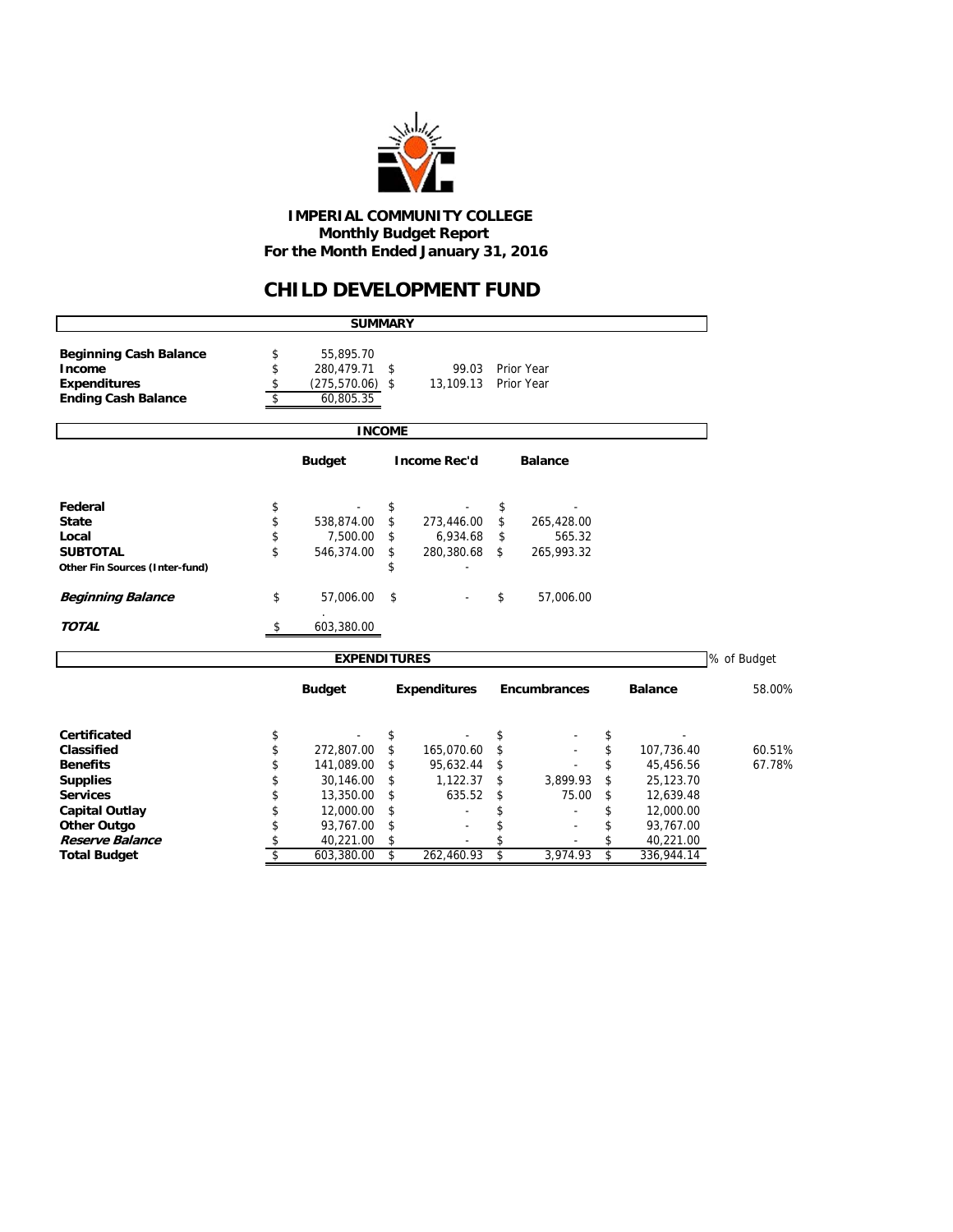

 **IMPERIAL COMMUNITY COLLEGE Monthly Budget Report For the Month Ended January 31, 2016**

## **CHILD DEVELOPMENT FUND**

|                                | <b>SUMMARY</b>           |               |                     |                     |                  |             |
|--------------------------------|--------------------------|---------------|---------------------|---------------------|------------------|-------------|
| <b>Beginning Cash Balance</b>  | \$<br>55,895.70          |               |                     |                     |                  |             |
| Income                         | \$<br>280,479.71         | \$            | 99.03               | Prior Year          |                  |             |
| <b>Expenditures</b>            | \$<br>$(275, 570.06)$ \$ |               | 13,109.13           | Prior Year          |                  |             |
| <b>Ending Cash Balance</b>     | \$<br>60,805.35          |               |                     |                     |                  |             |
|                                |                          | <b>INCOME</b> |                     |                     |                  |             |
|                                | <b>Budget</b>            |               | <b>Income Rec'd</b> | <b>Balance</b>      |                  |             |
| Federal                        | \$                       | \$            |                     | \$                  |                  |             |
| <b>State</b>                   | \$<br>538,874.00         | \$            | 273,446.00          | \$<br>265,428.00    |                  |             |
| Local                          | \$<br>7,500.00           | \$            | 6,934.68            | \$<br>565.32        |                  |             |
| <b>SUBTOTAL</b>                | \$<br>546,374.00         | \$            | 280,380.68          | \$<br>265,993.32    |                  |             |
| Other Fin Sources (Inter-fund) |                          |               |                     |                     |                  |             |
| <b>Beginning Balance</b>       | \$<br>57,006.00          | \$            |                     | \$<br>57,006.00     |                  |             |
| <b>TOTAL</b>                   | \$<br>603,380.00         |               |                     |                     |                  |             |
|                                | <b>EXPENDITURES</b>      |               |                     |                     |                  | % of Budget |
|                                | <b>Budget</b>            |               | <b>Expenditures</b> | <b>Encumbrances</b> | <b>Balance</b>   | 58.00%      |
| <b>Certificated</b>            | \$                       | \$            |                     | \$                  | \$               |             |
| Classified                     | \$<br>272,807.00         | \$            | 165,070.60          | \$                  | \$<br>107,736.40 | 60.51%      |
| <b>Benefits</b>                | \$<br>141,089.00         | \$            | 95,632.44           | \$                  | \$<br>45,456.56  | 67.78%      |
| <b>Supplies</b>                | \$<br>30,146.00          | \$            | 1,122.37            | \$<br>3,899.93      | \$<br>25,123.70  |             |
| <b>Services</b>                | \$<br>13,350.00          | \$            | 635.52              | \$<br>75.00         | \$<br>12,639.48  |             |
| <b>Capital Outlay</b>          | \$<br>12,000.00          | \$            |                     |                     | \$<br>12,000.00  |             |
| <b>Other Outgo</b>             | \$<br>93,767.00          | \$            |                     | \$                  | \$<br>93,767.00  |             |
| Reserve Balance                | \$<br>40,221.00          | \$            |                     |                     | \$<br>40,221.00  |             |
| <b>Total Budget</b>            | \$<br>603,380.00         | \$            | 262,460.93          | \$<br>3.974.93      | \$<br>336,944.14 |             |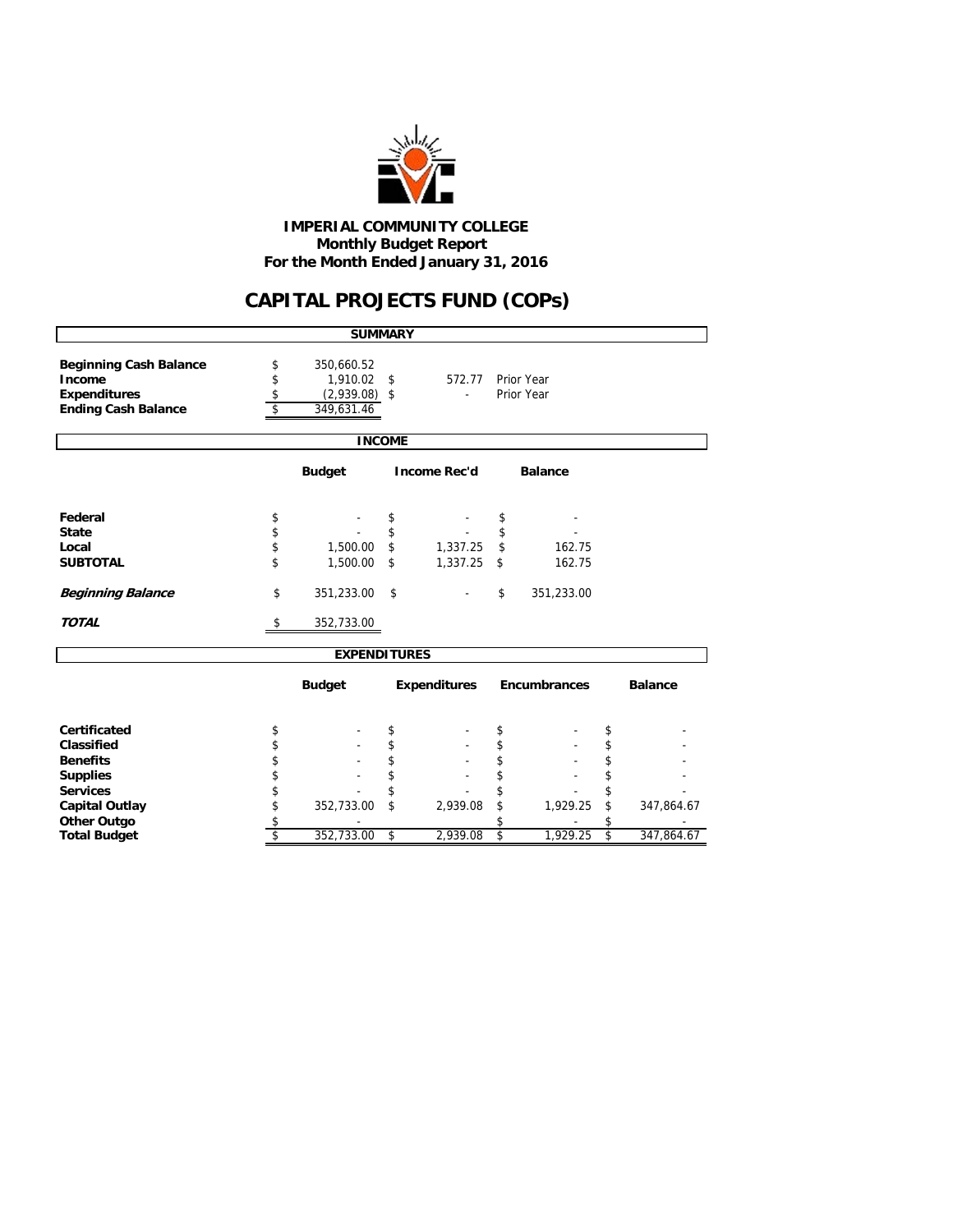

 **Monthly Budget Report For the Month Ended January 31, 2016 IMPERIAL COMMUNITY COLLEGE**

# **CAPITAL PROJECTS FUND (COPs)**

| <b>SUMMARY</b>                                                                               |                      |                                                         |          |                     |          |                          |          |                |  |  |  |  |
|----------------------------------------------------------------------------------------------|----------------------|---------------------------------------------------------|----------|---------------------|----------|--------------------------|----------|----------------|--|--|--|--|
| <b>Beginning Cash Balance</b><br>Income<br><b>Expenditures</b><br><b>Ending Cash Balance</b> | \$<br>\$<br>\$<br>\$ | 350,660.52<br>1,910.02<br>$(2,939.08)$ \$<br>349,631.46 | \$       | 572.77              |          | Prior Year<br>Prior Year |          |                |  |  |  |  |
|                                                                                              |                      | <b>INCOME</b>                                           |          |                     |          |                          |          |                |  |  |  |  |
|                                                                                              |                      | <b>Budget</b>                                           |          | <b>Income Rec'd</b> |          | <b>Balance</b>           |          |                |  |  |  |  |
| Federal                                                                                      | \$                   |                                                         | \$       |                     | \$       |                          |          |                |  |  |  |  |
| <b>State</b>                                                                                 | \$                   |                                                         | \$       |                     | \$       |                          |          |                |  |  |  |  |
| Local                                                                                        | \$                   | 1,500.00                                                | \$       | 1,337.25            | \$       | 162.75                   |          |                |  |  |  |  |
| <b>SUBTOTAL</b>                                                                              | \$                   | 1,500.00                                                | \$       | 1,337.25            | \$       | 162.75                   |          |                |  |  |  |  |
| <b>Beginning Balance</b>                                                                     | \$                   | 351,233.00                                              | \$       |                     | \$       | 351,233.00               |          |                |  |  |  |  |
| <b>TOTAL</b>                                                                                 | \$                   | 352,733.00                                              |          |                     |          |                          |          |                |  |  |  |  |
|                                                                                              |                      | <b>EXPENDITURES</b>                                     |          |                     |          |                          |          |                |  |  |  |  |
|                                                                                              |                      | <b>Budget</b>                                           |          | <b>Expenditures</b> |          | <b>Encumbrances</b>      |          | <b>Balance</b> |  |  |  |  |
| <b>Certificated</b>                                                                          |                      |                                                         |          |                     |          |                          |          |                |  |  |  |  |
| Classified                                                                                   | \$<br>\$             |                                                         | \$<br>\$ |                     | \$<br>\$ |                          | \$<br>\$ |                |  |  |  |  |
| <b>Benefits</b>                                                                              | \$                   |                                                         | \$       |                     | \$       |                          | \$       |                |  |  |  |  |
| <b>Supplies</b>                                                                              | \$                   |                                                         | \$       |                     | \$       |                          | \$       |                |  |  |  |  |
| <b>Services</b>                                                                              | \$                   |                                                         | \$       |                     | \$       |                          | \$       |                |  |  |  |  |
| <b>Capital Outlay</b>                                                                        | \$                   | 352,733.00                                              | \$       | 2,939.08            | \$       | 1,929.25                 | \$       | 347,864.67     |  |  |  |  |
| <b>Other Outgo</b>                                                                           | \$                   |                                                         |          |                     | \$       |                          |          |                |  |  |  |  |
| <b>Total Budget</b>                                                                          | \$                   | 352,733.00                                              | \$       | 2,939.08            | \$       | 1,929.25                 | \$       | 347,864.67     |  |  |  |  |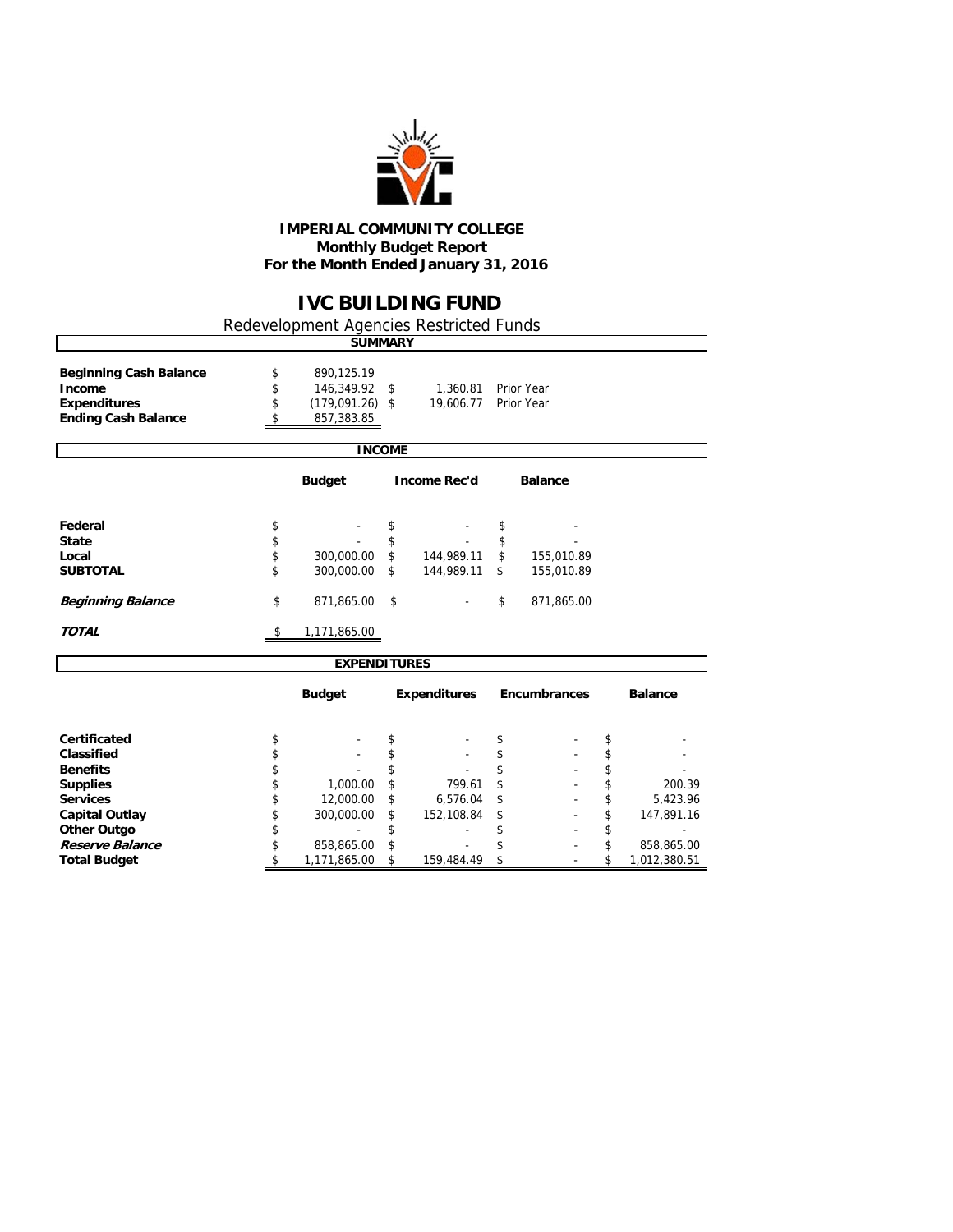

#### **IMPERIAL COMMUNITY COLLEGE Monthly Budget Report For the Month Ended January 31, 2016**

## **IVC BUILDING FUND**

Redevelopment Agencies Restricted Funds

| 890,125.19<br><b>Beginning Cash Balance</b><br>\$<br>\$<br>Income<br>146,349.92 \$<br>1,360.81<br>Prior Year<br>\$<br><b>Expenditures</b><br>$(179,091.26)$ \$<br>19,606.77<br>Prior Year<br>\$<br><b>Ending Cash Balance</b><br>857,383.85<br><b>INCOME</b><br><b>Income Rec'd</b><br><b>Budget</b> |                                |
|------------------------------------------------------------------------------------------------------------------------------------------------------------------------------------------------------------------------------------------------------------------------------------------------------|--------------------------------|
|                                                                                                                                                                                                                                                                                                      |                                |
|                                                                                                                                                                                                                                                                                                      |                                |
|                                                                                                                                                                                                                                                                                                      |                                |
|                                                                                                                                                                                                                                                                                                      |                                |
|                                                                                                                                                                                                                                                                                                      | <b>Balance</b>                 |
| Federal<br>\$<br>\$<br>\$                                                                                                                                                                                                                                                                            |                                |
| \$<br>\$<br><b>State</b><br>\$                                                                                                                                                                                                                                                                       |                                |
| \$<br>\$<br>$\mathfrak{L}$<br>300,000.00<br>144,989.11<br>Local                                                                                                                                                                                                                                      | 155,010.89                     |
| \$<br>300,000.00<br>144,989.11<br><b>SUBTOTAL</b><br>\$<br>\$                                                                                                                                                                                                                                        | 155,010.89                     |
|                                                                                                                                                                                                                                                                                                      |                                |
| \$<br>\$<br>871,865.00<br><b>Beginning Balance</b><br>\$                                                                                                                                                                                                                                             | 871,865.00                     |
| <b>TOTAL</b><br>1,171,865.00<br>\$                                                                                                                                                                                                                                                                   |                                |
| <b>EXPENDITURES</b>                                                                                                                                                                                                                                                                                  |                                |
| <b>Budget</b><br><b>Expenditures</b>                                                                                                                                                                                                                                                                 | Encumbrances<br><b>Balance</b> |
| Certificated<br>\$<br>\$<br>\$                                                                                                                                                                                                                                                                       | \$                             |
| \$<br>\$<br>\$<br>Classified                                                                                                                                                                                                                                                                         | \$                             |
| \$<br>\$<br>\$<br><b>Benefits</b>                                                                                                                                                                                                                                                                    | \$                             |
| \$<br>\$<br>\$<br>1,000.00<br>799.61<br><b>Supplies</b>                                                                                                                                                                                                                                              | \$<br>200.39                   |
| \$<br>12,000.00<br><b>Services</b><br>\$<br>6,576.04<br>\$                                                                                                                                                                                                                                           | \$<br>5,423.96                 |
| \$<br><b>Capital Outlay</b><br>300,000.00<br>152,108.84<br>\$<br>\$                                                                                                                                                                                                                                  |                                |
| \$<br>\$<br>\$<br><b>Other Outgo</b><br>$\overline{\phantom{a}}$                                                                                                                                                                                                                                     | \$<br>147,891.16               |

**Reserve Balance 8 58,865.00 \$** 858,865.00 **\$** 5 **858,865.00 \$** 5 **858,865.00 \$** 6 **1,171,865.00 \$** 1,171,865.00 **\$** 1,171,865.00 **\$** 1,171,865.00 **\$** 1,171,865.00 **\$** 1,012,380.51

**Total Budgett Street \$** 159,484.49 \$ - \$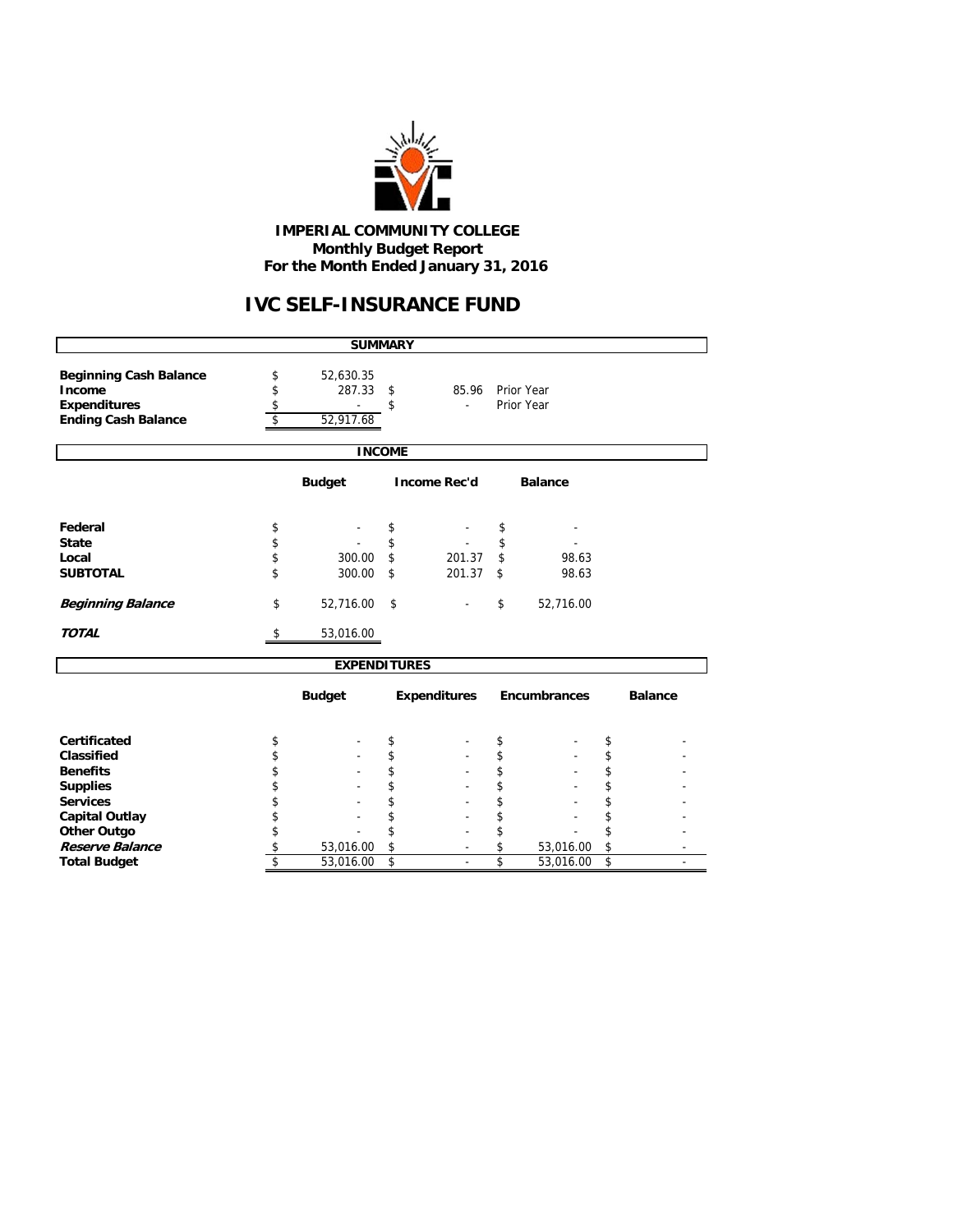

### **IMPERIAL COMMUNITY COLLEGE Monthly Budget Report For the Month Ended January 31, 2016**

# **IVC SELF-INSURANCE FUND**

| <b>SUMMARY</b>                                                                               |                |                                  |               |                     |          |                          |          |                |  |  |  |  |
|----------------------------------------------------------------------------------------------|----------------|----------------------------------|---------------|---------------------|----------|--------------------------|----------|----------------|--|--|--|--|
| <b>Beginning Cash Balance</b><br>Income<br><b>Expenditures</b><br><b>Ending Cash Balance</b> | \$<br>\$<br>\$ | 52,630.35<br>287.33<br>52,917.68 | \$<br>\$      | 85.96               |          | Prior Year<br>Prior Year |          |                |  |  |  |  |
|                                                                                              |                |                                  | <b>INCOME</b> |                     |          |                          |          |                |  |  |  |  |
|                                                                                              |                | <b>Budget</b>                    |               | <b>Income Rec'd</b> |          | <b>Balance</b>           |          |                |  |  |  |  |
| Federal<br><b>State</b>                                                                      | \$<br>\$       |                                  | \$<br>\$      |                     | \$<br>\$ |                          |          |                |  |  |  |  |
| Local<br><b>SUBTOTAL</b>                                                                     | \$<br>\$       | 300.00<br>300.00                 | \$<br>\$      | 201.37<br>201.37    | \$<br>\$ | 98.63<br>98.63           |          |                |  |  |  |  |
| <b>Beginning Balance</b>                                                                     | \$             | 52,716.00                        | \$            |                     | \$       | 52,716.00                |          |                |  |  |  |  |
| <b>TOTAL</b>                                                                                 | \$             | 53,016.00                        |               |                     |          |                          |          |                |  |  |  |  |
|                                                                                              |                | <b>EXPENDITURES</b>              |               |                     |          |                          |          |                |  |  |  |  |
|                                                                                              |                | <b>Budget</b>                    |               | <b>Expenditures</b> |          | <b>Encumbrances</b>      |          | <b>Balance</b> |  |  |  |  |
| Certificated                                                                                 | \$             |                                  | \$            |                     | \$       |                          | \$       |                |  |  |  |  |
| Classified                                                                                   | \$             |                                  | \$            |                     | \$       |                          | \$       |                |  |  |  |  |
| <b>Benefits</b><br><b>Supplies</b>                                                           | \$<br>\$       |                                  | \$<br>\$      |                     | \$<br>\$ |                          | \$<br>\$ |                |  |  |  |  |
| <b>Services</b>                                                                              | \$             |                                  | \$            |                     | \$       |                          | \$       |                |  |  |  |  |
| <b>Capital Outlay</b>                                                                        | \$             |                                  | \$            |                     | \$       |                          | \$       |                |  |  |  |  |
| <b>Other Outgo</b>                                                                           | \$             |                                  | \$            |                     | \$       |                          | \$       |                |  |  |  |  |
| Reserve Balance                                                                              | \$             | 53,016.00                        | \$            |                     | \$       | 53,016.00                | \$       |                |  |  |  |  |
| <b>Total Budget</b>                                                                          | \$             | 53,016.00                        | \$            |                     | \$       | 53,016.00                | \$       |                |  |  |  |  |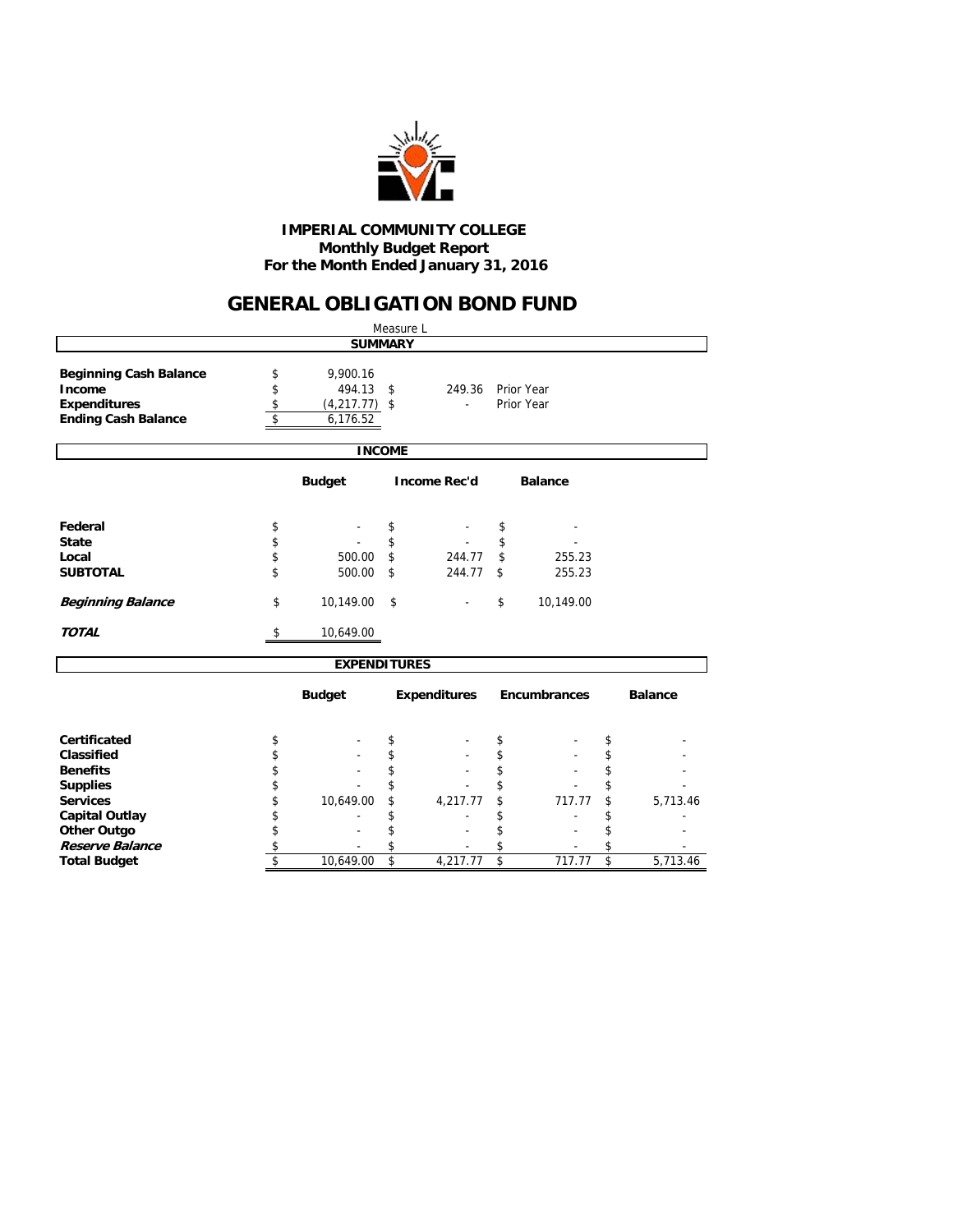

### **Monthly Budget Report For the Month Ended January 31, 2016 IMPERIAL COMMUNITY COLLEGE**

## **GENERAL OBLIGATION BOND FUND**

|                                                                                               |                |                                       |                         | Measure L    |    |                          |                         |          |  |  |  |  |  |
|-----------------------------------------------------------------------------------------------|----------------|---------------------------------------|-------------------------|--------------|----|--------------------------|-------------------------|----------|--|--|--|--|--|
| <b>SUMMARY</b>                                                                                |                |                                       |                         |              |    |                          |                         |          |  |  |  |  |  |
| <b>Beginning Cash Balance</b><br>Income<br><b>Expenditures</b>                                | \$<br>\$<br>\$ | 9,900.16<br>494.13<br>$(4,217.77)$ \$ | \$                      | 249.36<br>ä, |    | Prior Year<br>Prior Year |                         |          |  |  |  |  |  |
| <b>Ending Cash Balance</b>                                                                    | \$             | 6,176.52                              |                         |              |    |                          |                         |          |  |  |  |  |  |
|                                                                                               |                |                                       |                         |              |    |                          |                         |          |  |  |  |  |  |
|                                                                                               |                | <b>INCOME</b>                         |                         |              |    |                          |                         |          |  |  |  |  |  |
| <b>Budget</b><br><b>Income Rec'd</b><br><b>Balance</b>                                        |                |                                       |                         |              |    |                          |                         |          |  |  |  |  |  |
| Federal                                                                                       | \$             |                                       | \$                      |              | \$ |                          |                         |          |  |  |  |  |  |
| <b>State</b>                                                                                  | \$             |                                       | \$                      |              | \$ |                          |                         |          |  |  |  |  |  |
| Local                                                                                         | \$             | 500.00                                | \$                      | 244.77       | \$ | 255.23                   |                         |          |  |  |  |  |  |
| <b>SUBTOTAL</b>                                                                               | \$             | 500.00                                | \$                      | 244.77       | \$ | 255.23                   |                         |          |  |  |  |  |  |
| <b>Beginning Balance</b>                                                                      | \$             | 10,149.00                             | \$                      |              | \$ | 10,149.00                |                         |          |  |  |  |  |  |
| <b>TOTAL</b>                                                                                  | \$             | 10,649.00                             |                         |              |    |                          |                         |          |  |  |  |  |  |
|                                                                                               |                |                                       |                         |              |    |                          |                         |          |  |  |  |  |  |
| <b>EXPENDITURES</b><br>Encumbrances<br><b>Budget</b><br><b>Expenditures</b><br><b>Balance</b> |                |                                       |                         |              |    |                          |                         |          |  |  |  |  |  |
| Certificated                                                                                  | \$             |                                       | \$                      |              | \$ |                          | \$                      |          |  |  |  |  |  |
| Classified                                                                                    | \$             |                                       | \$                      |              | \$ |                          | \$                      |          |  |  |  |  |  |
| <b>Benefits</b>                                                                               | \$             |                                       | \$                      |              | \$ |                          | \$                      |          |  |  |  |  |  |
| <b>Supplies</b>                                                                               | \$             |                                       |                         |              | \$ |                          | \$                      |          |  |  |  |  |  |
| <b>Services</b>                                                                               | \$             | 10,649.00                             | \$                      | 4,217.77     | \$ | 717.77                   | \$                      | 5,713.46 |  |  |  |  |  |
| <b>Capital Outlay</b>                                                                         | \$             |                                       | \$                      |              | \$ |                          | \$                      |          |  |  |  |  |  |
| <b>Other Outgo</b>                                                                            | \$             |                                       | \$                      |              | \$ |                          | \$                      |          |  |  |  |  |  |
| Reserve Balance                                                                               | \$             |                                       | \$                      |              | \$ |                          | \$                      |          |  |  |  |  |  |
| <b>Total Budget</b>                                                                           | \$             | 10,649.00                             | $\overline{\mathsf{s}}$ | 4,217.77     | \$ | 717.77                   | $\overline{\mathbf{s}}$ | 5,713.46 |  |  |  |  |  |